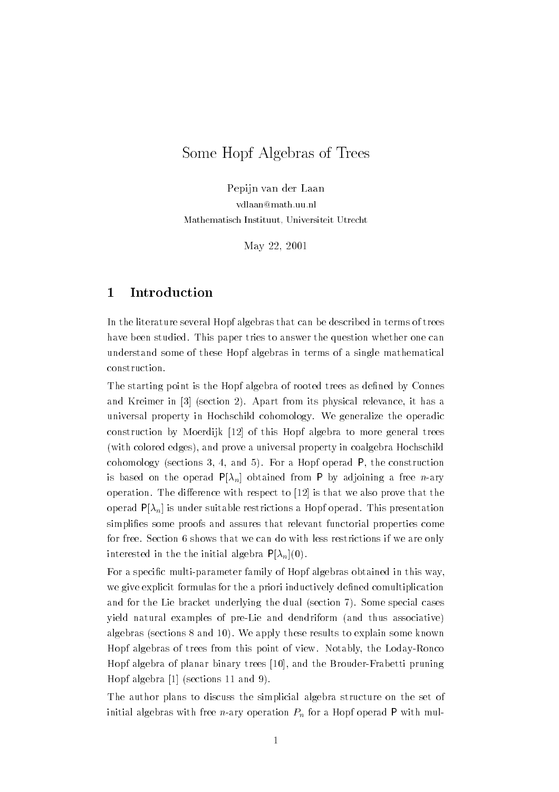# Some Hopf Algebras of Trees

Pepijn van der Laan vdlaan@math.uu.nl Mathematisch Instituut, Universiteit Utrecht

May 22, 2001

# 1 Introduction

In the literature several Hopf algebras that can be described in terms of trees have been studied. This paper tries to answer the question whether one can understand some of these Hopf algebras in terms of a single mathematical construction.

The starting point is the Hopf algebra of rooted trees as defined by Connes and Kreimer in [3] (section 2). Apart from its physical relevance, it has a universal property in Hochschild cohomology. We generalize the operadic construction by Moerdijk [12] of this Hopf algebra to more general trees (with colored edges), and prove a universal property in coalgebra Hochschild cohomology (sections 3, 4, and 5). For a Hopf operad P, the construction is based on the operad  $P[\lambda_n]$  obtained from P by adjoining a free *n*-ary operation. The difference with respect to  $[12]$  is that we also prove that the operad  $P[\lambda_n]$  is under suitable restrictions a Hopf operad. This presentation simplies some proofs and assures that relevant functorial properties come for free. Section 6 shows that we can do with less restrictions if we are only interested in the the initial algebra  $P[\lambda_n](0)$ .

For a specific multi-parameter family of Hopf algebras obtained in this way, we give explicit formulas for the a priori inductively defined comultiplication and for the Lie bracket underlying the dual (section 7). Some special cases yield natural examples of pre-Lie and dendriform (and thus associative) algebras (sections 8 and 10). We apply these results to explain some known Hopf algebras of trees from this point of view. Notably, the Loday-Ronco Hopf algebra of planar binary trees [10], and the Brouder-Frabetti pruning Hopf algebra [1] (sections 11 and 9).

The author plans to discuss the simplicial algebra structure on the set of initial algebras with free *n*-ary operation  $P_n$  for a Hopf operad P with mul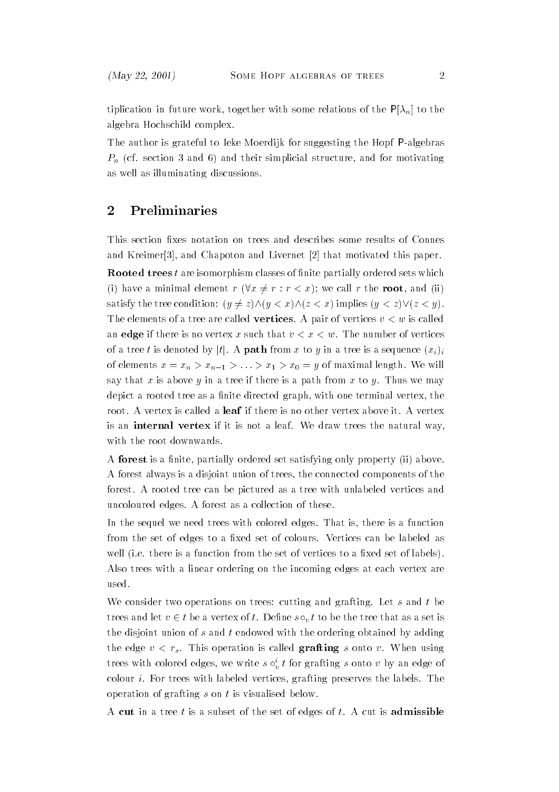tiplication in future work, together with some relations of the  $P[\lambda_n]$  to the algebra Hochschild complex.

The author is grateful to Ieke Moerdijk for suggesting the Hopf P-algebras  $P_n$  (cf. section 3 and 6) and their simplicial structure, and for motivating as well as illuminating discussions.

# 2 Preliminaries

This section fixes notation on trees and describes some results of Connes and Kreimer[3], and Chapoton and Livernet [2] that motivated this paper.

**Rooted trees** t are isomorphism classes of finite partially ordered sets which (i) have a minimal element  $r (\forall x \neq r : r < x)$ ; we call r the root, and (ii) satisfy the tree condition:  $(y \neq z) \land (y < x) \land (z < x)$  implies  $(y < z) \lor (z < y)$ . The elements of a tree are called **vertices**. A pair of vertices  $v < w$  is called an edge if there is no vertex x such that  $v < x < w$ . The number of vertices of a tree t is denoted by |t|. A **path** from x to y in a tree is a sequence  $(x_i)$ of elements  $x = x_n > x_{n-1} > ... > x_1 > x_0 = y$  of maximal length. We will say that x is above y in a tree if there is a path from x to y. Thus we may depict a rooted tree as a finite directed graph, with one terminal vertex, the root. A vertex is called a **leaf** if there is no other vertex above it. A vertex is an internal vertex if it is not a leaf. We draw trees the natural way, with the root downwards.

A forest is a finite, partially ordered set satisfying only property (ii) above. A forest always is a disjoint union of trees, the connected components of the forest. A rooted tree can be pictured as a tree with unlabeled vertices and uncoloured edges. A forest as a collection of these.

In the sequel we need trees with colored edges. That is, there is a function from the set of edges to a fixed set of colours. Vertices can be labeled as well (i.e. there is a function from the set of vertices to a fixed set of labels). Also trees with a linear ordering on the incoming edges at each vertex are used.

We consider two operations on trees: cutting and grafting. Let  $s$  and  $t$  be trees and let  $v \in t$  be a vertex of t. Define  $s \circ_v t$  to be the tree that as a set is the disjoint union of s and t endowed with the ordering obtained by adding the edge  $v < r_s$ . This operation is called grafting s onto v. When using trees with colored edges, we write  $s \circ i, t$  for grafting s onto v by an edge of colour i. For trees with labeled vertices, grafting preserves the labels. The operation of grafting  $s$  on  $t$  is visualised below.

A cut in a tree t is a subset of the set of edges of t. A cut is admissible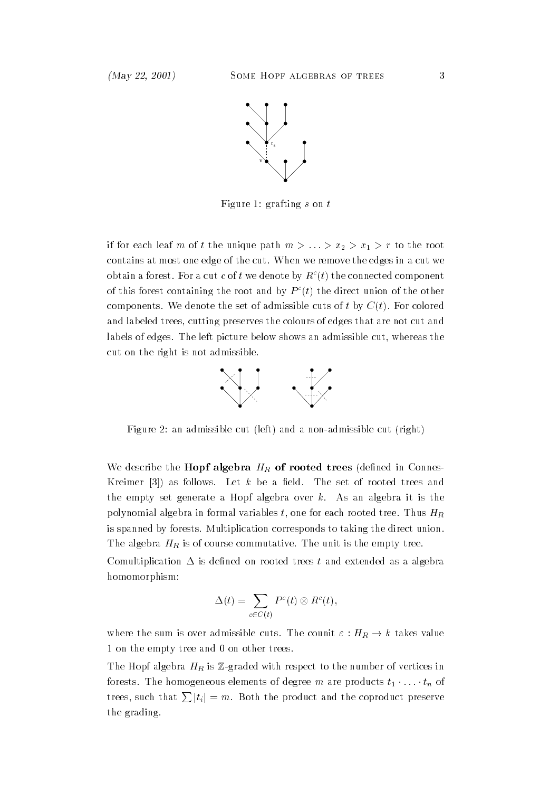

Figure 1: grafting s on t

if for each leaf m of t the unique path  $m > ... > x_2 > x_1 > r$  to the root contains at most one edge of the cut. When we remove the edges in a cut we obtain a forest. For a cut c of t we denote by  $R^c(t)$  the connected component of this forest containing the root and by  $P^{c}(t)$  the direct union of the other components. We denote the set of admissible cuts of t by  $C(t)$ . For colored and labeled trees, cutting preserves the colours of edges that are not cut and labels of edges. The left picture below shows an admissible cut, whereas the cut on the right is not admissible.



Figure 2: an admissible cut (left) and a non-admissible cut (right)

We describe the **Hopf algebra**  $H_R$  of rooted trees (defined in Connes-Kreimer [3]) as follows. Let  $k$  be a field. The set of rooted trees and the empty set generate a Hopf algebra over  $k$ . As an algebra it is the polynomial algebra in formal variables t, one for each rooted tree. Thus  $H_R$ is spanned by forests. Multiplication corresponds to taking the direct union. The algebra  $H_R$  is of course commutative. The unit is the empty tree.

Comultiplication  $\Delta$  is defined on rooted trees t and extended as a algebra homomorphism:

$$
\Delta(t) = \sum_{c \in C(t)} P^c(t) \otimes R^c(t),
$$

where the sum is over admissible cuts. The counit  $\varepsilon : H_R \to k$  takes value 1 on the empty tree and 0 on other trees.

The Hopf algebra  $H_R$  is Z-graded with respect to the number of vertices in forests. The homogeneous elements of degree m are products  $t_1 \cdot \ldots \cdot t_n$  of trees, such that  $\sum |t_i| = m$ . Both the product and the coproduct preserve the grading.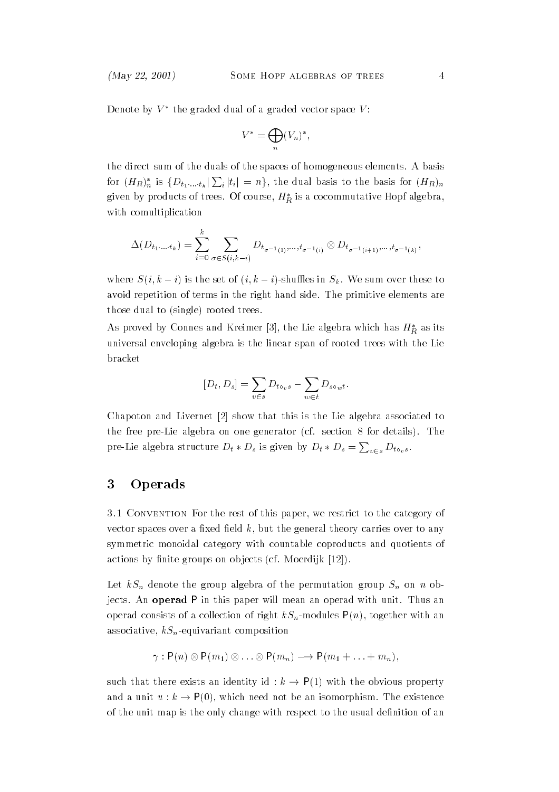Denote by  $V^*$  the graded dual of a graded vector space  $V\colon$ 

$$
V^* = \bigoplus_n (V_n)^*,
$$

the direct sum of the duals of the spaces of homogeneous elements. A basis for  $(H_R)_{n}^*$  is  $\{D_{t_1...t_k}|\sum_i|t_i|=n\},$  the dual basis to the basis for  $(H_R)_{n}$ given by products of trees. Of course,  $H_R^*$  is a cocommutative Hopf algebra with comultiplication

$$
\Delta(D_{t_1\cdot...\cdot t_k}) = \sum_{i=0}^k \sum_{\sigma \in S(i,k-i)} D_{t_{\sigma^{-1}(1)},...,t_{\sigma^{-1}(i)}} \otimes D_{t_{\sigma^{-1}(i+1)},...,t_{\sigma^{-1}(k)}},
$$

where  $S(i, k - i)$  is the set of  $(i, k - i)$ -shuffles in  $S_k$ . We sum over these to avoid repetition of terms in the right hand side. The primitive elements are those dual to (single) rooted trees.

As proved by Connes and Kreimer [3], the Lie algebra which has  $H_B^*$  as its universal enveloping algebra is the linear span of rooted trees with the Lie bracket

$$
[D_t, D_s] = \sum_{v \in s} D_{t \circ v s} - \sum_{w \in t} D_{s \circ w t}.
$$

Chapoton and Livernet [2] show that this is the Lie algebra associated to the free pre-Lie algebra on one generator (cf. section 8 for details). The pre-Lie algebra structure  $D_t * D_s$  is given by  $D_t * D_s = \sum_{v \in s} D_{t \circ_v s}$ .

## 3 Operads

3.1 Convention For the rest of this paper, we restrict to the category of vector spaces over a fixed field  $k$ , but the general theory carries over to any symmetric monoidal category with countable coproducts and quotients of actions by finite groups on objects (cf. Moerdijk [12]).

Let  $kS_n$  denote the group algebra of the permutation group  $S_n$  on n objects. An operad P in this paper will mean an operad with unit. Thus an operad consists of a collection of right  $kS_n$ -modules  $P(n)$ , together with an associative,  $kS_n$ -equivariant composition

$$
\gamma: \mathsf{P}(n) \otimes \mathsf{P}(m_1) \otimes \ldots \otimes \mathsf{P}(m_n) \longrightarrow \mathsf{P}(m_1 + \ldots + m_n),
$$

such that there exists an identity id :  $k \rightarrow P(1)$  with the obvious property and a unit  $u : k \to P(0)$ , which need not be an isomorphism. The existence of the unit map is the only change with respect to the usual definition of an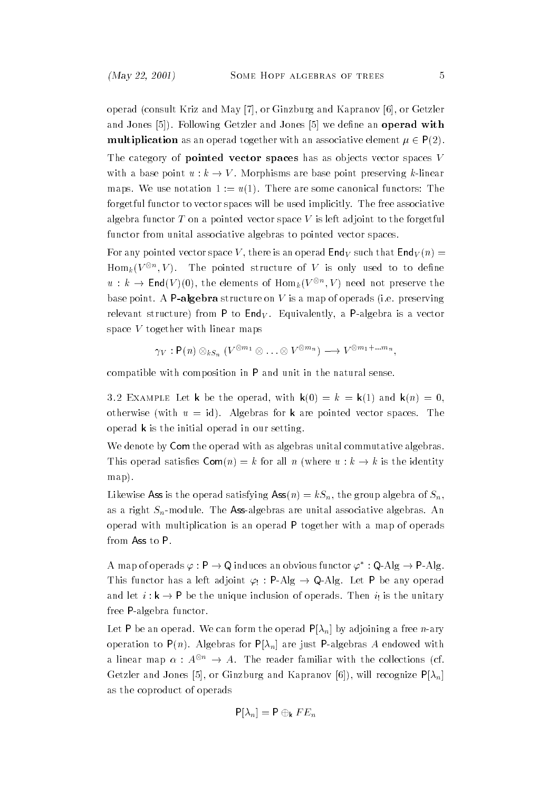operad (consult Kriz and May [7], or Ginzburg and Kapranov [6], or Getzler and Jones [5]). Following Getzler and Jones [5] we define an operad with **multiplication** as an operad together with an associative element  $\mu \in P(2)$ .

The category of **pointed vector spaces** has as objects vector spaces  $V$ with a base point  $u : k \to V$ . Morphisms are base point preserving k-linear maps. We use notation  $1 := u(1)$ . There are some canonical functors: The forgetful functor to vector spaces will be used implicitly. The free associative algebra functor T on a pointed vector space V is left adjoint to the forgetful functor from unital associative algebras to pointed vector spaces.

For any pointed vector space V, there is an operad  $\mathsf{End}_V$  such that  $\mathsf{End}_V(n)$  =  $\operatorname{Hom}_k(V^{\otimes n},V).$  The pointed structure of  $V$  is only used to to define  $u: k \to \mathsf{End}(V)(0),$  the elements of  $\mathrm{Hom}_k (V^{\otimes n}, V)$  need not preserve the base point. A **P-algebra** structure on V is a map of operads (i.e. preserving relevant structure) from P to  $\mathsf{End}_V$ . Equivalently, a P-algebra is a vector space V together with linear maps

$$
\gamma_V: \mathsf{P}(n) \otimes_{kS_n} (V^{\otimes m_1} \otimes \ldots \otimes V^{\otimes m_n}) \longrightarrow V^{\otimes m_1 + \ldots m_n},
$$

compatible with composition in P and unit in the natural sense.

 $3.2$  EXAMPLE Let K be the operad, with K(0)  $-$  K  $-$  K(1) and K(h)  $-$  0, otherwise (with  $u = id$ ). Algebras for k are pointed vector spaces. The operad k is the initial operad in our setting.

We denote by Com the operad with as algebras unital commutative algebras. This operad satisfies  $\mathsf{Com}(n) = k$  for all n (where  $u : k \to k$  is the identity map).

Likewise Ass is the operad satisfying Ass $(n) = kS_n$ , the group algebra of  $S_n$ , as a right  $S_n$ -module. The Ass-algebras are unital associative algebras. An operad with multiplication is an operad P together with a map of operads from Ass to P.

A map of operads  $\varphi : \mathsf{P} \to \mathsf{Q}$  induces an obvious functor  $\varphi^* : \mathsf{Q}\text{-}\mathrm{Alg} \to \mathsf{P}\text{-}\mathrm{Alg}$ . This functor has a left adjoint  $\varphi_! : P-Alg \to Q-Alg$ . Let P be any operad and let  $i : k \to P$  be the unique inclusion of operads. Then  $i_!$  is the unitary free P-algebra functor.

Let P be an operad. We can form the operad  $P[\lambda_n]$  by adjoining a free *n*-ary operation to  $P(n)$ . Algebras for  $P[\lambda_n]$  are just P-algebras A endowed with a linear map  $\alpha: A^{\otimes n} \to A$ . The reader familiar with the collections (cf. Getzler and Jones [5], or Ginzburg and Kapranov [6]), will recognize  $P[\lambda_n]$ as the coproduct of operads

$$
\mathsf{P}[\lambda_n] = \mathsf{P} \oplus_{\mathsf{k}} FE_n
$$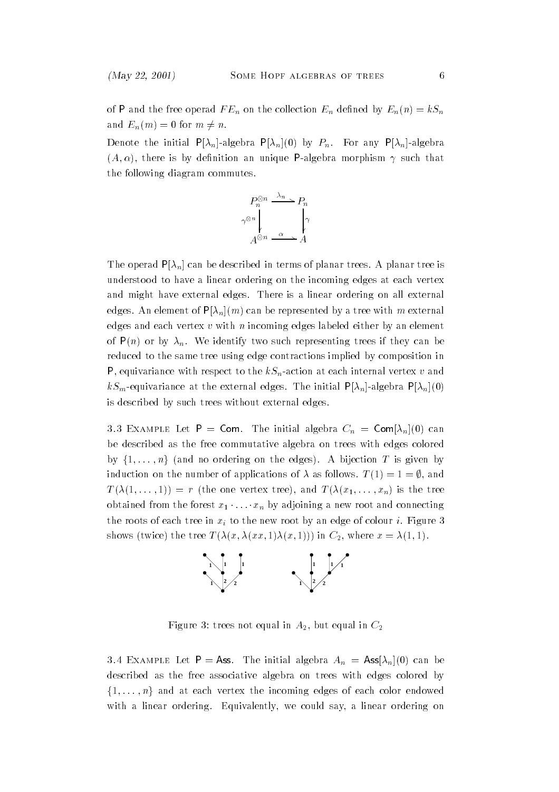of P and the free operad  $FE_n$  on the collection  $E_n$  defined by  $E_n(n) = kS_n$ and  $E_n(m) = 0$  for  $m \neq n$ .

Denote the initial  $P[\lambda_n]$ -algebra  $P[\lambda_n](0)$  by  $P_n$ . For any  $P[\lambda_n]$ -algebra  $(A, \alpha)$ , there is by definition an unique P-algebra morphism  $\gamma$  such that the following diagram commutes.



The operad  $P[\lambda_n]$  can be described in terms of planar trees. A planar tree is understood to have a linear ordering on the incoming edges at each vertex and might have external edges. There is a linear ordering on all external edges. An element of  $P[\lambda_n](m)$  can be represented by a tree with m external edges and each vertex  $v$  with  $n$  incoming edges labeled either by an element of  $P(n)$  or by  $\lambda_n$ . We identify two such representing trees if they can be reduced to the same tree using edge contractions implied by composition in P, equivariance with respect to the  $kS_n$ -action at each internal vertex v and  $kS_m$ -equivariance at the external edges. The initial  $P[\lambda_n]$ -algebra  $P[\lambda_n](0)$ is described by such trees without external edges.

3.3 EXAMPLE LET  $=$  COM. The initial algebra  $\cup_n =$  COM $|A_n|(0)$  can be described as the free commutative algebra on trees with edges colored by  $\{1,\ldots,n\}$  (and no ordering on the edges). A bijection T is given by induction on the number of applications of  $\lambda$  as follows.  $T(1) = 1 = \emptyset$ , and  $T(\lambda(1,\ldots,1)) = r$  (the one vertex tree), and  $T(\lambda(x_1,\ldots,x_n))$  is the tree obtained from the forest  $x_1 \cdot \ldots \cdot x_n$  by adjoining a new root and connecting the roots of each tree in  $x_i$  to the new root by an edge of colour i. Figure 3 shows (twice) the tree  $T(\lambda(x, \lambda(xx, 1)\lambda(x, 1)))$  in  $C_2$ , where  $x = \lambda(1, 1)$ .



Figure 3: trees not equal in  $A_2$ , but equal in  $C_2$ 

 $3.4$  EXAMPLE Let  $\Gamma =$  Ass. The initial algebra  $A_n =$  Ass $|\lambda_n|(0)$  can be described as the free associative algebra on trees with edges colored by  $\{1,\ldots,n\}$  and at each vertex the incoming edges of each color endowed with a linear ordering. Equivalently, we could say, a linear ordering on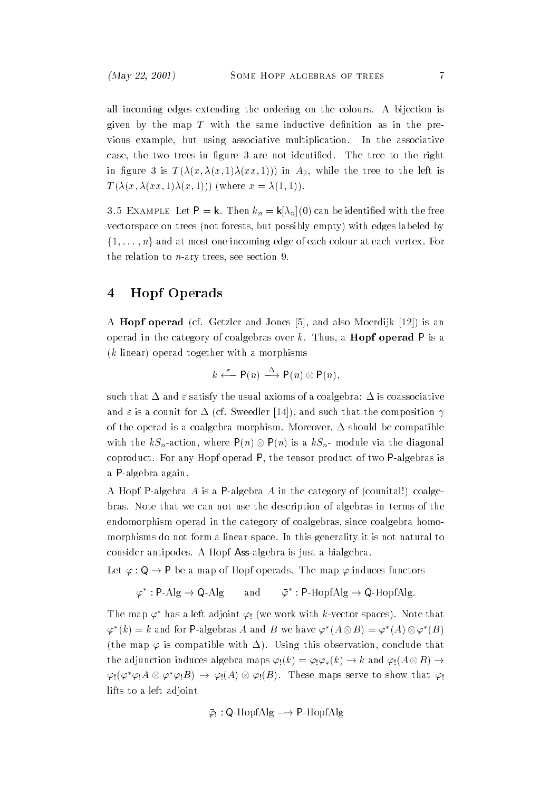all incoming edges extending the ordering on the colours. A bijection is given by the map  $T$  with the same inductive definition as in the previous example, but using associative multiplication. In the associative case, the two trees in figure 3 are not identified. The tree to the right in figure 3 is  $T(\lambda(x, \lambda(x, 1), \lambda(x, 1)))$  in  $A_2$ , while the tree to the left is  $T(\lambda(x, \lambda(x, x, 1), \lambda(x, 1)))$  (where  $x = \lambda(1, 1)$ ).

 $\mathbf{J}$ .  $\mathbf{J}$  Example Let  $\mathbf{I} = \mathbf{K}$ . Then  $\mathbf{v}_n = \mathbf{K} |A_n|(\mathbf{0})$  can be identified with the free vectorspace on trees (not forests, but possibly empty) with edges labeled by  $\{1,\ldots,n\}$  and at most one incoming edge of each colour at each vertex. For the relation to  $n$ -ary trees, see section 9.

# 4 Hopf Operads

A Hopf operad (cf. Getzler and Jones [5], and also Moerdijk [12]) is an operad in the category of coalgebras over k. Thus, a **Hopf operad**  $P$  is a (k linear) operad together with a morphisms

$$
k \stackrel{\varepsilon}{\longleftarrow} \mathsf{P}(n) \stackrel{\Delta}{\longrightarrow} \mathsf{P}(n) \otimes \mathsf{P}(n),
$$

such that  $\Delta$  and  $\varepsilon$  satisfy the usual axioms of a coalgebra:  $\Delta$  is coassociative and  $\varepsilon$  is a counit for  $\Delta$  (cf. Sweedler [14]), and such that the composition  $\gamma$ of the operad is a coalgebra morphism. Moreover,  $\Delta$  should be compatible with the  $kS_n$ -action, where  $P(n) \otimes P(n)$  is a  $kS_n$ - module via the diagonal coproduct. For any Hopf operad P, the tensor product of two P-algebras is a P-algebra again.

A Hopf P-algebra A is a P-algebra A in the category of (counital!) coalgebras. Note that we can not use the description of algebras in terms of the endomorphism operad in the category of coalgebras, since coalgebra homomorphisms do not form a linear space. In this generality it is not natural to consider antipodes. A Hopf Ass-algebra is just a bialgebra.

Let  $\varphi : \mathsf{Q} \to \mathsf{P}$  be a map of Hopf operads. The map  $\varphi$  induces functors

$$
\varphi^* : \mathsf{P}\text{-}\mathrm{Alg} \to \mathsf{Q}\text{-}\mathrm{Alg} \qquad \text{and} \qquad \bar{\varphi}^* : \mathsf{P}\text{-}\mathrm{HopfAlg} \to \mathsf{Q}\text{-}\mathrm{HopfAlg}.
$$

The map  $\varphi^*$  has a left adjoint  $\varphi_!$  (we work with k-vector spaces). Note that  $\varphi^*(k) = k$  and for P-algebras A and B we have  $\varphi^*(A \otimes B) = \varphi^*(A) \otimes \varphi^*(B)$ (the map  $\varphi$  is compatible with  $\Delta$ ). Using this observation, conclude that the adjunction induces algebra maps  $\varphi_!(k) = \varphi_!\varphi_*(k) \to k$  and  $\varphi_!(A \otimes B) \to$  $\varphi_!(\varphi^*\varphi_!A\otimes\varphi^*\varphi_!B)\to \varphi_!(A)\otimes\varphi_!(B).$  These maps serve to show that  $\varphi_!\varphi_!A\otimes\varphi^*\varphi_!B)$ lifts to a left adjoint

$$
\bar{\varphi}_!
$$
: Q-HopfAlg  $\longrightarrow$  P-HopfAlg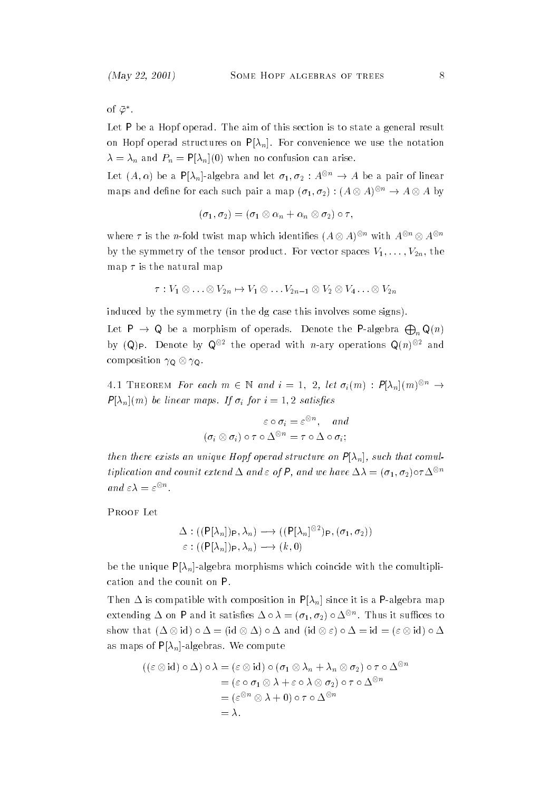of  $\bar{\varphi}^*$ .

Let P be a Hopf operad. The aim of this section is to state a general result on Hopf operad structures on  $P[\lambda_n]$ . For convenience we use the notation  $\lambda = \lambda_n$  and  $P_n = P[\lambda_n](0)$  when no confusion can arise.

Let  $(A, \alpha)$  be a P[ $\lambda_n$ ]-algebra and let  $\sigma_1, \sigma_2 : A^{\otimes n} \to A$  be a pair of linear maps and define for each such pair a map  $(\sigma_1, \sigma_2) : (A \otimes A)^{\otimes n} \to A \otimes A$  by

$$
(\sigma_1,\sigma_2)=(\sigma_1\otimes\alpha_n+\alpha_n\otimes\sigma_2)\circ\tau,
$$

where  $\tau$  is the n-fold twist map which identifies  $(A \otimes A)^{\otimes n}$  with  $A^{\otimes n} \otimes A^{\otimes n}$ by the symmetry of the tensor product. For vector spaces  $V_1,\ldots,V_{2n}$ , the map  $\tau$  is the natural map

$$
\tau: V_1 \otimes \ldots \otimes V_{2n} \mapsto V_1 \otimes \ldots V_{2n-1} \otimes V_2 \otimes V_4 \ldots \otimes V_{2n}
$$

induced by the symmetry (in the dg case this involves some signs).

Let **P**  $\rightarrow$  **Q** be a morphism of operads. Denote the **P**-algebra  $\bigoplus_{n} \mathsf{Q}(n)$ by (Q)p. Denote by Q $^{\otimes 2}$  the operad with *n*-ary operations Q(*n*) $^{\otimes 2}$  and composition  $\gamma_{\mathsf{Q}} \otimes \gamma_{\mathsf{Q}}$ .

4.1 THEOREM For each  $m \in \mathbb{N}$  and  $i = 1, 2, let \sigma_i(m) : P[\lambda_n](m)^{\otimes n} \rightarrow$  $P[\lambda_n](m)$  be linear maps. If  $\sigma_i$  for  $i = 1, 2$  satisfies

$$
\varepsilon \circ \sigma_i = \varepsilon^{\otimes n}, \quad \text{and}
$$

$$
(\sigma_i \otimes \sigma_i) \circ \tau \circ \Delta^{\otimes n} = \tau \circ \Delta \circ \sigma_i;
$$

then there exists an unique Hopf operad structure on  $P[\lambda_n]$ , such that comultiplication and counit extend  $\Delta$  and  $\varepsilon$  of P, and we have  $\Delta \lambda = (\sigma_1, \sigma_2) \circ \tau \Delta^{\otimes n}$ and  $\varepsilon \lambda = \varepsilon^{\otimes n}$ .

 $\mathbf{r}$  is  $\mathbf{r}$  and  $\mathbf{r}$ 

$$
\Delta : ((\mathsf{P}[\lambda_n])_{\mathsf{P}}, \lambda_n) \longrightarrow ((\mathsf{P}[\lambda_n]^{\otimes 2})_{\mathsf{P}}, (\sigma_1, \sigma_2))
$$
  

$$
\varepsilon : ((\mathsf{P}[\lambda_n])_{\mathsf{P}}, \lambda_n) \longrightarrow (k, 0)
$$

be the unique  $P[\lambda_n]$ -algebra morphisms which coincide with the comultiplication and the counit on P.

Then  $\Delta$  is compatible with composition in P[ $\lambda_n$ ] since it is a P-algebra map extending  $\Delta$  on **P** and it satisfies  $\Delta \circ \lambda = (\sigma_1, \sigma_2) \circ \Delta^{\otimes n}$ . Thus it suffices to show that  $(\Delta \otimes id) \circ \Delta = (id \otimes \Delta) \circ \Delta$  and  $(id \otimes \varepsilon) \circ \Delta = id = (\varepsilon \otimes id) \circ \Delta$ as maps of  $P[\lambda_n]$ -algebras. We compute

$$
((\varepsilon \otimes id) \circ \Delta) \circ \lambda = (\varepsilon \otimes id) \circ (\sigma_1 \otimes \lambda_n + \lambda_n \otimes \sigma_2) \circ \tau \circ \Delta^{\otimes n}
$$
  
= (\varepsilon \circ \sigma\_1 \otimes \lambda + \varepsilon \circ \lambda \otimes \sigma\_2) \circ \tau \circ \Delta^{\otimes n}  
= (\varepsilon^{\otimes n} \otimes \lambda + 0) \circ \tau \circ \Delta^{\otimes n}  
= \lambda.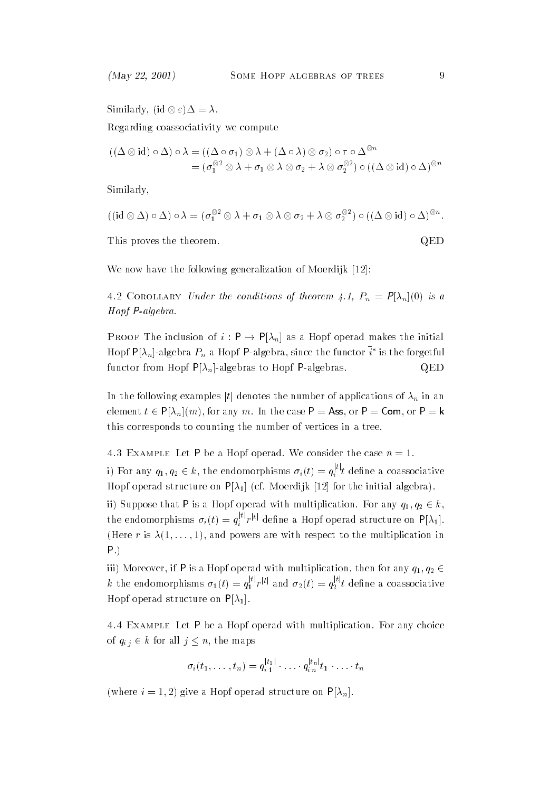Similarly,  $(id \otimes \varepsilon) \Delta = \lambda$ . Regarding coassociativity we compute

$$
((\Delta \otimes id) \circ \Delta) \circ \lambda = ((\Delta \circ \sigma_1) \otimes \lambda + (\Delta \circ \lambda) \otimes \sigma_2) \circ \tau \circ \Delta^{\otimes n}
$$
  
=  $(\sigma_1^{\otimes 2} \otimes \lambda + \sigma_1 \otimes \lambda \otimes \sigma_2 + \lambda \otimes \sigma_2^{\otimes 2}) \circ ((\Delta \otimes id) \circ \Delta)^{\otimes n}$ 

Similarly,

$$
((\mathrm{id}\otimes\Delta)\circ\Delta)\circ\lambda=(\sigma_1^{\otimes 2}\otimes\lambda+\sigma_1\otimes\lambda\otimes\sigma_2+\lambda\otimes\sigma_2^{\otimes 2})\circ((\Delta\otimes\mathrm{id})\circ\Delta)^{\otimes n}
$$

This proves the theorem.  $QED$ 

We now have the following generalization of Moerdijk [12]:

4.2 COROLLARY Under the conditions of theorem 4.1,  $P_n = F[X_n](0)$  is a Hopf P-algebra.

PROOF The inclusion of  $i : \mathsf{P} \to \mathsf{P}[\lambda_n]$  as a Hopf operad makes the initial Hopf P[ $\lambda_n$ ]-algebra  $P_n$  a Hopf P-algebra, since the functor  $i^*$  is the forgetful functor from Hopf  $P[\lambda_n]$ -algebras to Hopf P-algebras.  $QED$ 

In the following examples |t| denotes the number of applications of  $\lambda_n$  in an element  $t \in P[\lambda_n](m)$ , for any m. In the case P = Ass, or P = Com, or P = k this corresponds to counting the number of vertices in a tree.

 $4.3$  EXAMPLE Let P be a HOPF operad. We consider the case  $n = 1$ .

i) For any  $q_1, q_2 \in k$ , the endomorphisms  $\sigma_i(t) = q_i^{|t|}t$  define a coassociative Hopf operad structure on  $P[\lambda_1]$  (cf. Moerdijk [12] for the initial algebra).

ii) Suppose that P is a Hopf operad with multiplication. For any  $q_1, q_2 \in k$ , the endomorphisms  $\sigma_i(t) = q_i^{|t|}r^{|t|}$  define a Hopf operad structure on P[ $\lambda_1$ ]. (Here r is  $\lambda(1,\ldots,1)$ , and powers are with respect to the multiplication in P.)

iii) Moreover, if P is a Hopf operad with multiplication, then for any  $q_1, q_2 \in$  $k$  the endomorphisms  $\sigma_1(t)=q_1^{|t|}r^{|t|}$  and  $\sigma_2(t)=q_2^{|t|}t$  define a coassociative Hopf operad structure on  $P[\lambda_1]$ .

4.4 Example Let P be a Hopf operad with multiplication. For any choice of  $q_{i j} \in k$  for all  $j \leq n$ , the maps

$$
\sigma_i(t_1,\ldots,t_n)=q_{i1}^{|t_1|}\cdot\ldots\cdot q_{i_n}^{|t_n|}t_1\cdot\ldots\cdot t_n
$$

(where  $i = 1, 2$ ) give a Hopf operad structure on  $P[\lambda_n]$ .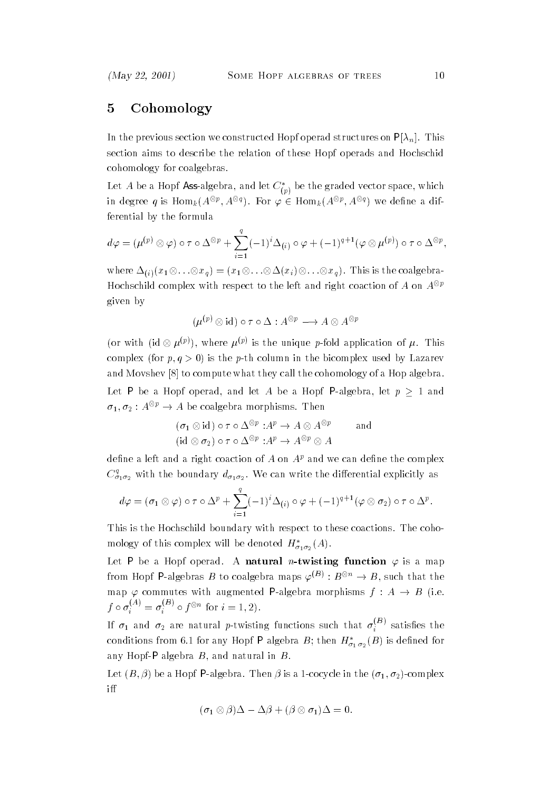# 5 Cohomology

In the previous section we constructed Hopf operad structures on  $P[\lambda_n]$ . This section aims to describe the relation of these Hopf operads and Hochschid cohomology for coalgebras.

Let  $A$  be a Hopf **Ass**-algebra, and let  $C^*_{({p})}$  be the graded vector space, which in degree  $q$  is  $\mathrm{Hom}_k(A^{\otimes p},A^{\otimes q})$ . For  $\varphi\in \mathrm{Hom}_k(A^{\otimes p},A^{\otimes q})$  we define a differential by the formula

$$
d\varphi = (\mu^{(p)} \otimes \varphi) \circ \tau \circ \Delta^{\otimes p} + \sum_{i=1}^{q} (-1)^i \Delta_{(i)} \circ \varphi + (-1)^{q+1} (\varphi \otimes \mu^{(p)}) \circ \tau \circ \Delta^{\otimes p},
$$

where  $\Delta_{(i)}(x_1\otimes\ldots\otimes x_q)=(x_1\otimes\ldots\otimes\Delta(x_i)\otimes\ldots\otimes x_q)$ . This is the coalgebra-Hochschild complex with respect to the left and right coaction of A on  $A^{\otimes p}$ given by

$$
(\mu^{(p)} \otimes \mathrm{id}) \circ \tau \circ \Delta : A^{\otimes p} \longrightarrow A \otimes A^{\otimes p}
$$

(or with (id  $\otimes \mu^{(p)}$ ), where  $\mu^{(p)}$  is the unique p-fold application of  $\mu$ . This complex (for  $p, q > 0$ ) is the p-th column in the bicomplex used by Lazarev and Movshev [8] to compute what they call the cohomology of a Hop algebra. Let P be a Hopf operad, and let A be a Hopf P-algebra, let  $p > 1$  and  $\sigma_1, \sigma_2 : A^{\otimes p} \to A$  be coalgebra morphisms. Then

$$
(\sigma_1 \otimes id) \circ \tau \circ \Delta^{\otimes p} : A^p \to A \otimes A^{\otimes p}
$$
 and  
\n $(id \otimes \sigma_2) \circ \tau \circ \Delta^{\otimes p} : A^p \to A^{\otimes p} \otimes A$ 

define a left and a right coaction of A on  $A<sup>p</sup>$  and we can define the complex  $C_{\sigma_1\sigma_2}^*$  with the boundary  $d_{\sigma_1\sigma_2}$ . We can write the differential explicitly as

$$
d\varphi = (\sigma_1 \otimes \varphi) \circ \tau \circ \Delta^p + \sum_{i=1}^q (-1)^i \Delta_{(i)} \circ \varphi + (-1)^{q+1} (\varphi \otimes \sigma_2) \circ \tau \circ \Delta^p.
$$

This is the Hochschild boundary with respect to these coactions. The cohomology of this complex will be denoted  $H^*_{\sigma_1\sigma_2}(A)$ .

Let P be a Hopf operad. A natural *n*-twisting function  $\varphi$  is a map from Hopf P-algebras B to coalgebra maps  $\varphi^{(B)}: B^{\otimes n} \to B$ , such that the map  $\varphi$  commutes with augmented P-algebra morphisms  $f : A \rightarrow B$  (i.e.  $f \circ \sigma_i^{(A)} = \sigma_i^{(B)} \circ f^{\otimes n}$  for  $i = 1, 2$ .

If  $\sigma_1$  and  $\sigma_2$  are natural p-twisting functions such that  $\sigma_i^{<sup>+-</sup>}$  satisfies the conditions from 6.1 for any Hopf P algebra B; then  $H^*_{\sigma_1,\sigma_2}(B)$  is defined for any Hopf-P algebra  $B$ , and natural in  $B$ .

Let  $(B, \beta)$  be a Hopf P-algebra. Then  $\beta$  is a 1-cocycle in the  $(\sigma_1, \sigma_2)$ -complex i

$$
(\sigma_1 \otimes \beta)\Delta - \Delta \beta + (\beta \otimes \sigma_1)\Delta = 0.
$$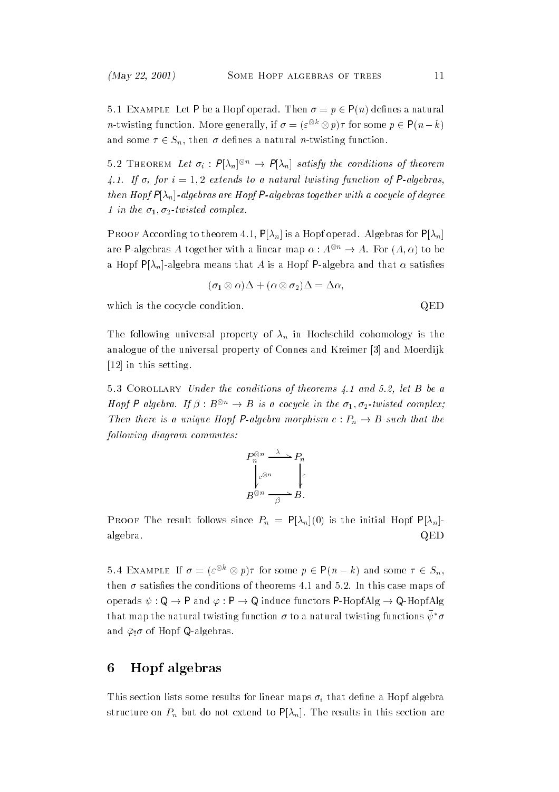5.1 EXAMPLE Let P be a Hopf operad. Then  $\sigma = p \in P(n)$  defines a natural *n*-twisting function. More generally, if  $\sigma = (\varepsilon^{\otimes k} \otimes p)\tau$  for some  $p \in P(n-k)$ and some  $\tau \in S_n$ , then  $\sigma$  defines a natural *n*-twisting function.

5.2 THEOREM Let  $\sigma_i$ :  $P[\lambda_n]^{\otimes n} \to P[\lambda_n]$  satisfy the conditions of theorem 4.1. If  $\sigma_i$  for  $i = 1, 2$  extends to a natural twisting function of P-algebras, then Hopf  $P[\lambda_n]$ -algebras are Hopf P-algebras together with a cocycle of degree 1 in the  $\sigma_1$ ,  $\sigma_2$ -twisted complex.

 $\mathbf{P}$  respectively to the start  $\mathbf{P}$  . Pinglis a Hopf operation  $\mathbf{P}$  is the Planck for P[n] are P-algebras A together with a linear map  $\alpha: A^{\otimes n} \to A$ . For  $(A, \alpha)$  to be a Hopf  $P[\lambda_n]$ -algebra means that A is a Hopf P-algebra and that  $\alpha$  satisfies

$$
(\sigma_1 \otimes \alpha)\Delta + (\alpha \otimes \sigma_2)\Delta = \Delta \alpha,
$$

which is the cocycle condition.  $QED$ 

The following universal property of  $\lambda_n$  in Hochschild cohomology is the analogue of the universal property of Connes and Kreimer [3] and Moerdijk [12] in this setting.

 $5.3$  COROLLARY Under the conditions of theorems 4.1 and 5.2, let B be a Hopf P algebra. If  $\beta : B^{\otimes n} \to B$  is a cocycle in the  $\sigma_1, \sigma_2$ -twisted complex; Then there is a unique Hopf P-algebra morphism  $c: P_n \to B$  such that the following diagram commutes:

$$
P_n^{\otimes n} \xrightarrow{\lambda} P_n
$$
  
\n
$$
e^{\otimes n} \xrightarrow[\beta]{c} P_n
$$
  
\n
$$
B^{\otimes n} \xrightarrow[\beta]{\beta} B.
$$

**Proof** The result follows since  $\mathbf{r}_h = \{v_h\}$  (0) is the initial Hopf P[ $v_h$ ] algebra.  $\mathbf{Q} = \mathbf{Q}$ 

5.4 EXAMPLE If  $\sigma = (\varepsilon^{\otimes k} \otimes p)\tau$  for some  $p \in \mathsf{P}(n-k)$  and some  $\tau \in S_n$ , then  $\sigma$  satisfies the conditions of theorems 4.1 and 5.2. In this case maps of operads  $\psi : \mathsf{Q} \to \mathsf{P}$  and  $\varphi : \mathsf{P} \to \mathsf{Q}$  induce functors P-HopfAlg  $\to \mathsf{Q}$ -HopfAlg that map the natural twisting function  $\sigma$  to a natural twisting functions  $\bar\psi^* \sigma$ and  $\bar{\varphi}$  of Hopf Q-algebras.

#### Hopf algebras 6

This section lists some results for linear maps  $\sigma_i$  that define a Hopf algebra structure on  $P_n$  but do not extend to  $P[\lambda_n]$ . The results in this section are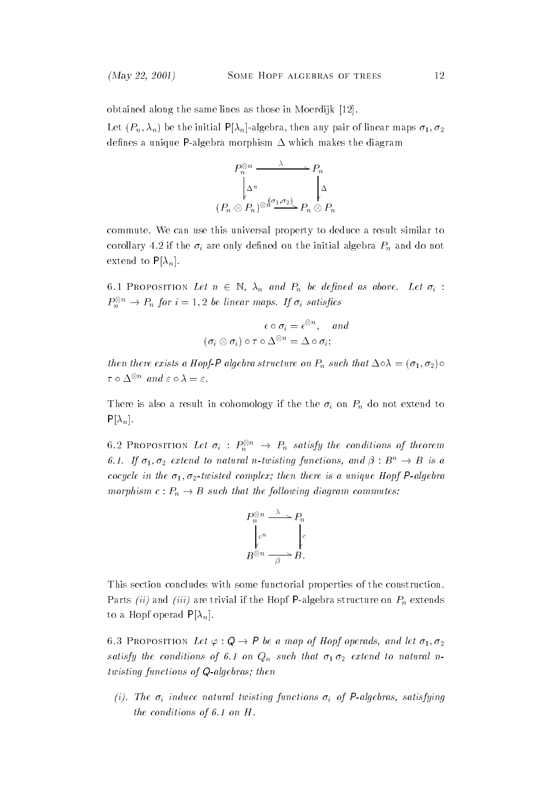obtained along the same lines as those in Moerdijk [12].

Let  $(P_n, \lambda_n)$  be the initial P[ $\lambda_n$ ]-algebra, then any pair of linear maps  $\sigma_1, \sigma_2$ defines a unique P-algebra morphism  $\Delta$  which makes the diagram



commute. We can use this universal property to deduce a result similar to corollary 4.2 if the  $\sigma_i$  are only defined on the initial algebra  $P_n$  and do not extend to  $P[\lambda_n]$ .

6.1 PROPOSITION Let  $n \in \mathbb{N}$ ,  $\lambda_n$  and  $P_n$  be defined as above. Let  $\sigma_i$ :  $P_n^{\otimes n} \to P_n$  for  $i = 1,2$  be linear maps. If  $\sigma_i$  satisfies

$$
\epsilon \circ \sigma_i = \epsilon^{\otimes n}, \quad and
$$

$$
(\sigma_i \otimes \sigma_i) \circ \tau \circ \Delta^{\otimes n} = \Delta \circ \sigma_i;
$$

then there exists a Hopf-P algebra structure on  $P_n$  such that  $\Delta \circ \lambda = (\sigma_1, \sigma_2) \circ$  $\tau \circ \Delta^{\otimes n}$  and  $\varepsilon \circ \lambda = \varepsilon$ .

There is also a result in cohomology if the the  $\sigma_i$  on  $P_n$  do not extend to  $P[\lambda_n]$ .

6.2 PROPOSITION Let  $\sigma_i$  :  $P_n^{\otimes n} \to P_n$  satisfy the conditions of theorem 6.1. If  $\sigma_1, \sigma_2$  extend to natural n-twisting functions, and  $\beta : B^n \to B$  is a cocycle in the  $\sigma_1, \sigma_2$ -twisted complex; then there is a unique Hopf P-algebra morphism  $c: P_n \to B$  such that the following diagram commutes:

$$
P_n^{\otimes n} \xrightarrow{\lambda} P_n
$$
  
\n
$$
e^n \xrightarrow[\beta]{e^n} e
$$
  
\n
$$
B^{\otimes n} \xrightarrow[\beta]{\beta} B.
$$

This section concludes with some functorial properties of the construction. Parts (ii) and (iii) are trivial if the Hopf P-algebra structure on  $P_n$  extends to a Hopf operad  $P[\lambda_n]$ .

6.3 PROPOSITION Let  $\varphi : \mathsf{Q} \to \mathsf{P}$  be a map of Hopf operads, and let  $\sigma_1, \sigma_2$ satisfy the conditions of 6.1 on  $Q_n$  such that  $\sigma_1 \sigma_2$  extend to natural ntwisting functions of Q-algebras; then

(i). The  $\sigma_i$  induce natural twisting functions  $\sigma_i$  of P-algebras, satisfying the conditions of 6.1 on H.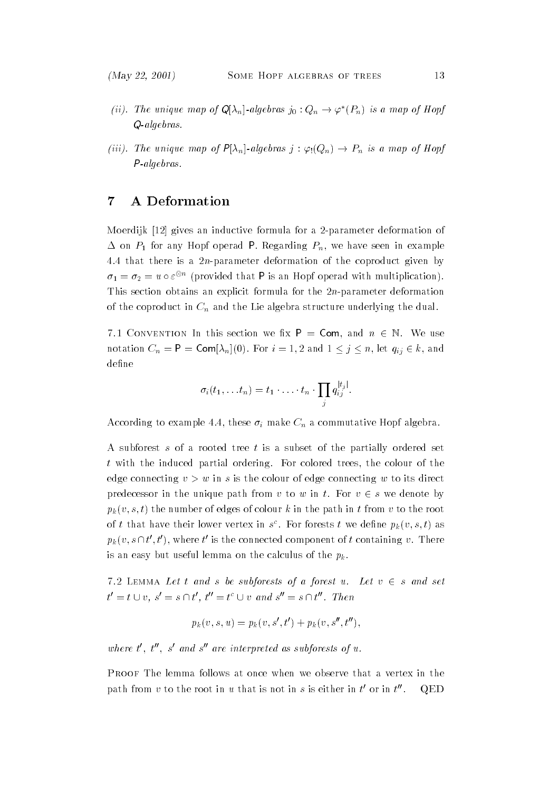- (ii). The unique map of  $\mathsf{Q}[\lambda_n]$ -algebras  $j_0: Q_n \to \varphi^*(P_n)$  is a map of Hopf Q-algebras.
- (iii). The unique map of  $P[\lambda_n]$ -algebras  $j : \varphi_!(Q_n) \to P_n$  is a map of Hopf P-algebras.

#### $\overline{7}$ A Deformation

Moerdijk [12] gives an inductive formula for a 2-parameter deformation of  $\Delta$  on  $P_1$  for any Hopf operad P. Regarding  $P_n$ , we have seen in example 4.4 that there is a  $2n$ -parameter deformation of the coproduct given by  $\sigma_1 = \sigma_2 = u \circ \varepsilon^{\otimes n}$  (provided that P is an Hopf operad with multiplication). This section obtains an explicit formula for the  $2n$ -parameter deformation of the coproduct in  $C_n$  and the Lie algebra structure underlying the dual.

7.1 CONVENTION In this section we fix  $P = Com$ , and  $n \in \mathbb{N}$ . We use notation  $C_n = \mathsf{P} = \mathsf{Com}[\lambda_n](0)$ . For  $i = 1, 2$  and  $1 \leq j \leq n$ , let  $q_{ij} \in k$ , and define

$$
\sigma_i(t_1,\ldots t_n)=t_1\cdot\ldots\cdot t_n\cdot\prod_j q_{ij}^{|t_j|}.
$$

According to example 4.4, these  $\sigma_i$  make  $C_n$  a commutative Hopf algebra.

A subforest s of a rooted tree t is a subset of the partially ordered set t with the induced partial ordering. For colored trees, the colour of the edge connecting  $v>w$  in s is the colour of edge connecting w to its direct predecessor in the unique path from v to w in t. For  $v \in s$  we denote by  $p_k(v, s, t)$  the number of edges of colour k in the path in t from v to the root of t that have their lower vertex in  $s$  . For forests t we define  $p_k(v, s, t)$  as  $p_k(v, s \cap t', t')$ , where t' is the connected component of t containing v. There is an easy but useful lemma on the calculus of the  $p_k$ .

7.2 LEMMA Let t and s be subforests of a forest u. Let  $v \in s$  and set  $t' = t \cup v, s' = s \cap t', t'' = t^c \cup v \text{ and } s'' = s \cap t''.$  Then

$$
p_k(v, s, u) = p_k(v, s', t') + p_k(v, s'', t''),
$$

where t', t'', s' and s'' are interpreted as subforests of u.

Proof The lemma follows at once when we observe that a vertex in the path from  $v$  to the root in  $u$  that is not in  $s$  is either in  $t'$  or in  $t''$ . 00. QED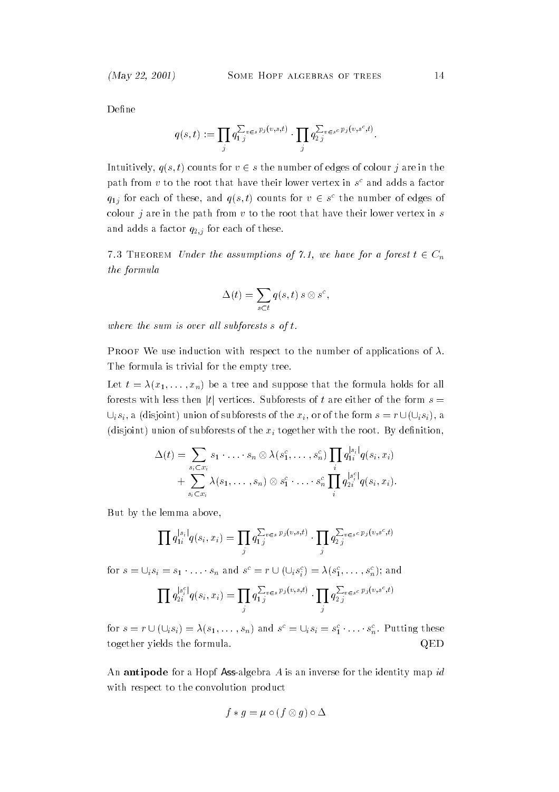Define

$$
q(s,t) := \prod_j q_{1j}^{\sum_{v \in s} p_j(v,s,t)} \cdot \prod_j q_{2j}^{\sum_{v \in s^c} p_j(v,s^c,t)}.
$$

Intuitively,  $q(s, t)$  counts for  $v \in s$  the number of edges of colour j are in the path from  $v$  to the root that have their lower vertex in  $s^{\downarrow}$  and adds a factor  $q_{1j}$  for each of these, and  $q(s,t)$  counts for  $v \in s^c$  the number of edges of colour  $j$  are in the path from  $v$  to the root that have their lower vertex in  $s$ and adds a factor  $q_{2,j}$  for each of these.

7.3 THEOREM Under the assumptions of 7.1, we have for a forest  $t \in C_n$ the formula

$$
\Delta(t) = \sum_{s \subset t} q(s, t) \, s \otimes s^c,
$$

where the sum is over all subforests  $s$  of  $t$ .

Proof We use induction with respect to the number of applications of . The formula is trivial for the empty tree.

Let  $t = \lambda(x_1,\ldots,x_n)$  be a tree and suppose that the formula holds for all forests with less then |t| vertices. Subforests of t are either of the form  $s =$  $\bigcup_i s_i$ , a (disjoint) union of subforests of the  $x_i$ , or of the form  $s = r \cup (\bigcup_i s_i)$ , a (disjoint) union of subforests of the  $x_i$  together with the root. By definition,

$$
\Delta(t) = \sum_{s_i \subset x_i} s_1 \cdot \ldots \cdot s_n \otimes \lambda(s_1^c, \ldots, s_n^c) \prod_i q_{1i}^{|s_i|} q(s_i, x_i) + \sum_{s_i \subset x_i} \lambda(s_1, \ldots, s_n) \otimes s_1^c \cdot \ldots \cdot s_n^c \prod_i q_{2i}^{|s_i^c|} q(s_i, x_i).
$$

But by the lemma above,

$$
\prod q_{1i}^{|s_i|} q(s_i, x_i) = \prod_j q_{1j}^{\sum_v \epsilon_s p_j(v,s,t)} \cdot \prod_j q_{2j}^{\sum_v \epsilon_s c p_j(v,s^c,t)}
$$

for  $s = \cup_i s_i = s_1 \cdot \ldots \cdot s_n$  and  $s^c = r \cup (\cup_i s_i^c) = \lambda(s_1^c, \ldots, s_n^c)$ ; and

$$
\prod q_{2i}^{|s_i^c|}q(s_i, x_i) = \prod_j q_{1j}^{\sum_{v \in s} p_j(v, s, t)} \cdot \prod_j q_{2j}^{\sum_{v \in s^c} p_j(v, s^c, t)}
$$

for  $s = r \cup (\cup_i s_i) = \lambda(s_1,\ldots,s_n)$  and  $s^c = \cup_i s_i = s_1^c \cdot \ldots \cdot s_n^c$ . Putting these together yields the formula. QED

An antipode for a Hopf Ass-algebra  $A$  is an inverse for the identity map  $id$ with respect to the convolution product

$$
f * g = \mu \circ (f \otimes g) \circ \Delta
$$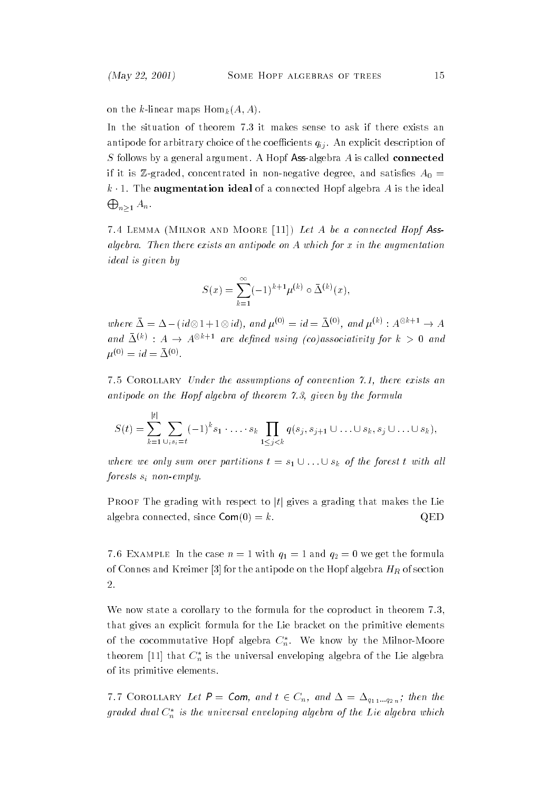on the k-linear maps  $\text{Hom}_k(A, A)$ .

In the situation of theorem 7.3 it makes sense to ask if there exists an antipode for arbitrary choice of the coefficients  $q_{ij}$ . An explicit description of  $S$  follows by a general argument. A Hopf Ass-algebra  $A$  is called connected if it is Z-graded, concentrated in non-negative degree, and satisfies  $A_0 =$ k  $\cdot$  1. The augmentation ideal of a connected Hopf algebra A is the ideal  $\bigoplus_{n\geq 1}A_n.$ 

 $7.4$  Lemma (Milnor and Moore [11]) Let  $A$  be a connected Hopf Assalgebra. Then there exists an antipode on A which for x in the augmentation ideal is given by

$$
S(x) = \sum_{k=1}^{\infty} (-1)^{k+1} \mu^{(k)} \circ \bar{\Delta}^{(k)}(x),
$$

where  $\bar{\Delta} = \Delta - (id \otimes 1 + 1 \otimes id)$ , and  $\mu^{(0)} = id = \bar{\Delta}^{(0)}$ , and  $\mu^{(k)} : A^{\otimes k+1} \to A$ and  $\Delta^{(k)}$  :  $A \to A^{\otimes k+1}$  are defined using (co)associativity for  $k > 0$  and  $\mu^{0.5} = \mu = \Delta^{0.5}$ .

7.5 Corollary Under the assumptions of convention 7.1, there exists an antipode on the Hopf algebra of theorem 7.3, given by the formula

$$
S(t) = \sum_{k=1}^{|t|} \sum_{\cup_i s_i = t} (-1)^k s_1 \cdot \ldots \cdot s_k \prod_{1 \leq j < k} q(s_j, s_{j+1} \cup \ldots \cup s_k, s_j \cup \ldots \cup s_k),
$$

where we only sum over partitions  $t = s_1 \cup ... \cup s_k$  of the forest t with all forests  $s_i$  non-empty.

Proof The grading with respect to  $|t|$  gives a grading that makes the Lie algebra connected, since  $Com(0) = k$ . QED

7.0 EXAMPLE In the case  $n = 1$  with  $q_1 = 1$  and  $q_2 = 0$  we get the formula of Connes and Kreimer [3] for the antipode on the Hopf algebra  $H_R$  of section 2.

We now state a corollary to the formula for the coproduct in theorem 7.3, that gives an explicit formula for the Lie bracket on the primitive elements of the cocommutative Hopf algebra  $C_n^*$ . We know by the Milnor-Moore theorem [11] that  $C_n^*$  is the universal enveloping algebra of the Lie algebra of its primitive elements.

7.7 COROLLARY Let  $P = Com$ , and  $t \in C_n$ , and  $\Delta = \Delta_{q_1} \dots q_{2n}$ ; then the graded dual  $C_n^*$  is the universal enveloping algebra of the Lie algebra which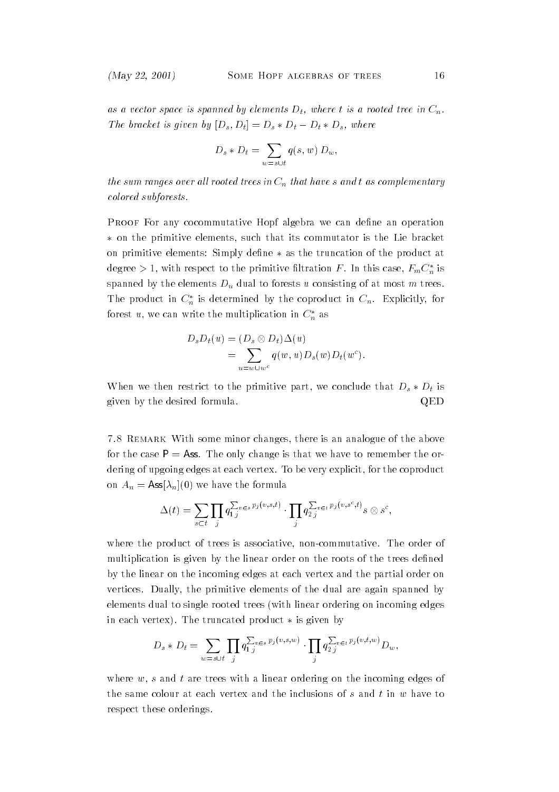as a vector space is spanned by elements  $D_t$ , where t is a rooted tree in  $C_n$ . The bracket is given by  $[D_s, D_t] = D_s * D_t - D_t * D_s$ , where

$$
D_s * D_t = \sum_{w=s \cup t} q(s, w) D_w,
$$

the sum ranges over all rooted trees in  $C_n$  that have s and t as complementary colored subforests.

Proof For any cocommutative Hopf algebra we can dene an operation on the primitive elements, such that its commutator is the Lie bracket on primitive elements: Simply define  $*$  as the truncation of the product at degree > 1, with respect to the primitive filtration F. In this case,  $F_m C_n^*$  is spanned by the elements  $D_u$  dual to forests u consisting of at most m trees. The product in  $C_n^*$  is determined by the coproduct in  $C_n$ . Explicitly, for forest u, we can write the multiplication in  $C_n^*$  as

$$
D_s D_t(u) = (D_s \otimes D_t) \Delta(u)
$$
  
= 
$$
\sum_{u=w \cup w^c} q(w, u) D_s(w) D_t(w^c).
$$

When we then restrict to the primitive part, we conclude that  $D_s * D_t$  is given by the desired formula. QED

7.8 Remark With some minor changes, there is an analogue of the above for the case  $P = As$ . The only change is that we have to remember the ordering of upgoing edges at each vertex. To be very explicit, for the coproduct on  $A_n = \text{Ass}[\lambda_n](0)$  we have the formula

$$
\Delta(t) = \sum_{s \subset t} \prod_j q_{1j}^{\sum_{v \in s} p_j(v,s,t)} \cdot \prod_j q_{2j}^{\sum_{v \in t} p_j(v,s^c,t)} s \otimes s^c,
$$

where the product of trees is associative, non-commutative. The order of multiplication is given by the linear order on the roots of the trees defined by the linear on the incoming edges at each vertex and the partial order on vertices. Dually, the primitive elements of the dual are again spanned by elements dual to single rooted trees (with linear ordering on incoming edges in each vertex). The truncated product  $*$  is given by

$$
D_s * D_t = \sum_{w=s \cup t} \prod_j q_{1j}^{\sum_v \in s} p_j(v,s,w) \cdot \prod_j q_{2j}^{\sum_v \in t} p_j(v,t,w) D_w,
$$

where  $w$ , s and t are trees with a linear ordering on the incoming edges of the same colour at each vertex and the inclusions of  $s$  and  $t$  in  $w$  have to respect these orderings.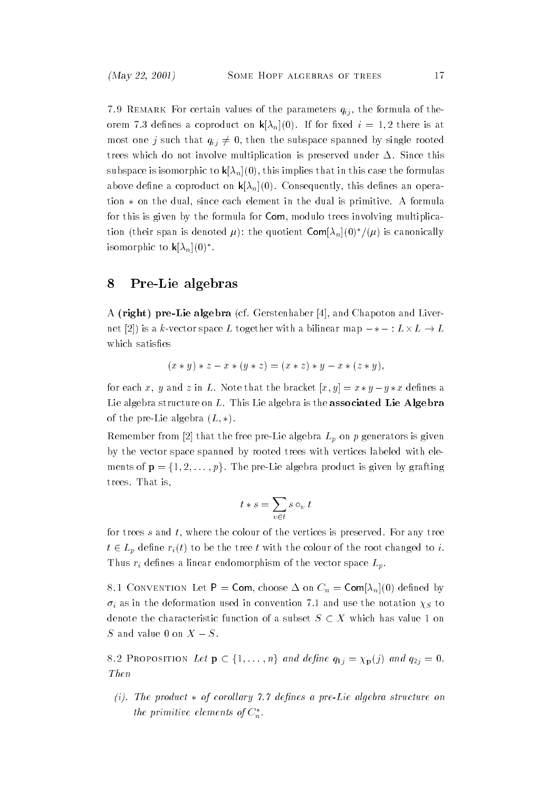$7.9$  Remark For certain values of the parameters  $q_{ij}$ , the formula of theorem 7.3 defines a coproduct on  $\mathsf{k}[\lambda_n](0)$ . If for fixed  $i=1,2$  there is at most one j such that  $q_{ij} \neq 0$ , then the subspace spanned by single rooted trees which do not involve multiplication is preserved under  $\Delta$ . Since this subspace is isomorphic to  $\mathbf{k}[\lambda_n](0)$ , this implies that in this case the formulas above define a coproduct on  $\mathsf{k}[\lambda_n](0)$ . Consequently, this defines an operation  $*$  on the dual, since each element in the dual is primitive. A formula for this is given by the formula for Com, modulo trees involving multiplication (their span is denoted  $\mu$ ): the quotient  $\text{Com}[\lambda_n](0)^*/(\mu)$  is canonically isomorphic to  $\mathsf{k}[\lambda_n](0)^*$ .

### 8 Pre-Lie algebras

A (right) pre-Lie algebra (cf. Gerstenhaber [4], and Chapoton and Livernet [2]) is a k-vector space L together with a bilinear map  $-*-: L \times L \rightarrow L$ which satisfies

$$
(x * y) * z - x * (y * z) = (x * z) * y - x * (z * y),
$$

for each x, y and z in L. Note that the bracket  $[x, y] = x * y - y * x$  defines a Lie algebra structure on L. This Lie algebra is the **associated Lie Algebra** of the pre-Lie algebra  $(L, *)$ .

Remember from [2] that the free pre-Lie algebra  $L_p$  on p generators is given by the vector space spanned by rooted trees with vertices labeled with elements of  $\mathbf{p} = \{1, 2, \ldots, p\}$ . The pre-Lie algebra product is given by grafting trees. That is,

$$
t * s = \sum_{v \in t} s \circ_v t
$$

for trees s and t, where the colour of the vertices is preserved. For any tree  $t \in L_p$  define  $r_i(t)$  to be the tree t with the colour of the root changed to i. Thus  $r_i$  defines a linear endomorphism of the vector space  $L_p$ .

 $\circ$ .1 CONVENTION LET  $=$  COIII, choose  $\Delta$  on  $C_n =$  CoIII $\Delta_n$  $(0)$  defined by  $\sigma_i$  as in the deformation used in convention 7.1 and use the notation  $\chi_S$  to denote the characteristic function of a subset  $S \subset X$  which has value 1 on S and value 0 on  $X - S$ .

S and value 0 on  $X - S$ .<br>8.2 Proposition Let  $\mathbf{p} \in \{1,\ldots,n\}$  and define  $q_{1j} = \chi_{\mathbf{p}}(j)$  and  $q_{2j} = 0$ . Then

(i). The product  $*$  of corollary 7.7 defines a pre-Lie algebra structure on the primitive elements of  $C_n^*$ .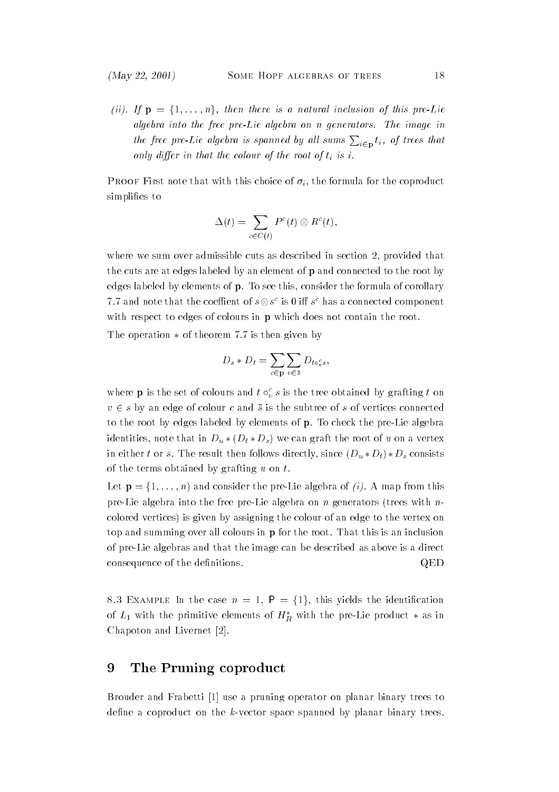(ii). If  $\mathbf{p} = \{1, \ldots, n\}$ , then there is a natural inclusion of this pre-Lie algebra into the free pre-Lie algebra on n generators. The image in the free pre-Lie algebra is spanned by all sums  $\sum_{i\in \textbf{p}}t_i$ , of trees that only differ in that the colour of the root of  $t_i$  is i.

 $\mathbf{F}$  roof  $\mathbf{F}$  first note that with this choice of  $\mathbf{v}_i$ , the formula for the coproduct simplifies to

$$
\Delta(t) = \sum_{c \in C(t)} P^c(t) \otimes R^c(t),
$$

where we sum over admissible cuts as described in section 2, provided that the cuts are at edges labeled by an element of p and connected to the root by edges labeled by elements of p. To see this, consider the formula of corollary 7.7 and note that the coeffient of  $s\otimes s^c$  is 0 iff  $s^c$  has a connected component with respect to edges of colours in **p** which does not contain the root.

The operation  $*$  of theorem 7.7 is then given by

$$
D_s * D_t = \sum_{c \in \mathbf{p}} \sum_{v \in \overline{s}} D_{t \circ_v^c s},
$$

where **p** is the set of colours and  $t \circ \phi$  s is the tree obtained by grafting t on  $v \in s$  by an edge of colour c and  $\bar{s}$  is the subtree of s of vertices connected to the root by edges labeled by elements of p. To check the pre-Lie algebra identities, note that in  $D_u * (D_t * D_s)$  we can graft the root of u on a vertex in either t or s. The result then follows directly, since  $(D_u * D_t) * D_s$  consists of the terms obtained by grafting  $u$  on  $t$ .

Let  $\mathbf{p} = \{1, \ldots, n\}$  and consider the pre-Lie algebra of *(i)*. A map from this pre-Lie algebra into the free pre-Lie algebra on n generators (trees with  $n$ colored vertices) is given by assigning the colour of an edge to the vertex on top and summing over all colours in p for the root. That this is an inclusion of pre-Lie algebras and that the image can be described as above is a direct consequence of the definitions.  $QED$ 

8.3 EXAMPLE In the case  $n = 1$ ,  $P = \{1\}$ , this yields the identification of  $L_1$  with the primitive elements of  $H_R^*$  with the pre-Lie product  $*$  as in Chapoton and Livernet [2].

#### The Pruning coproduct 9

Brouder and Frabetti [1] use a pruning operator on planar binary trees to define a coproduct on the  $k$ -vector space spanned by planar binary trees.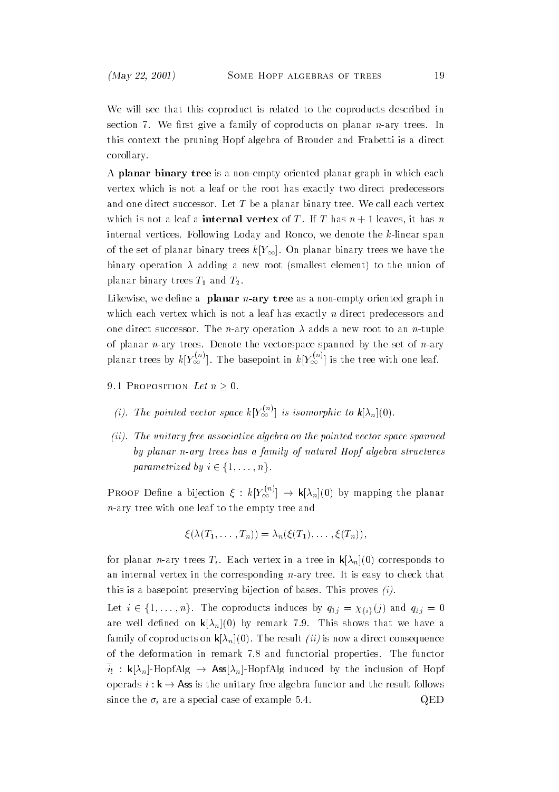We will see that this coproduct is related to the coproducts described in section 7. We first give a family of coproducts on planar  $n$ -ary trees. In this context the pruning Hopf algebra of Brouder and Frabetti is a direct corollary.

A planar binary tree is a non-empty oriented planar graph in which each vertex which is not a leaf or the root has exactly two direct predecessors and one direct successor. Let  $T$  be a planar binary tree. We call each vertex which is not a leaf a **internal vertex** of T. If T has  $n + 1$  leaves, it has n internal vertices. Following Loday and Ronco, we denote the k-linear span of the set of planar binary trees  $k[Y_\infty]$ . On planar binary trees we have the binary operation  $\lambda$  adding a new root (smallest element) to the union of planar binary trees  $T_1$  and  $T_2$ .

Likewise, we define a **planar**  $n$ -ary tree as a non-empty oriented graph in which each vertex which is not a leaf has exactly  $n$  direct predecessors and one direct successor. The *n*-ary operation  $\lambda$  adds a new root to an *n*-tuple of planar *n*-ary trees. Denote the vectorspace spanned by the set of *n*-ary planar trees by  $k[Y_{\infty}^{\vee}]$ . The basepoint in  $k[Y_{\infty}^{\vee}]$  is the tree with one leaf.

- 9.1 Proposition Let  $n \geq 0$ .
	- (i). The pointed vector space  $k[Y_{\infty}^{\infty}]$  is isomorphic to  $k[\lambda_n](0)$ .
- (ii). The unitary free associative algebra on the pointed vector space spanned by planar n-ary trees has a family of natural Hopf algebra structures  $\begin{aligned} \textit{The unitary free associated} \textit{asocative algebra} \textit{by planar n-ary trees has a familiar parameterized by } i \in \{1,\ldots,n\}. \end{aligned}$

**PROOF** Define a bijection  $\xi : k[Y_{\infty}^{(n)}] \to k[\lambda_n](0)$  by mapping the planar  $n$ -ary tree with one leaf to the empty tree and

$$
\xi(\lambda(T_1,\ldots,T_n))=\lambda_n(\xi(T_1),\ldots,\xi(T_n)),
$$

for planar n-ary trees  $T_i$ . Each vertex in a tree in  $\mathsf{k}[\lambda_n](0)$  corresponds to an internal vertex in the corresponding  $n$ -ary tree. It is easy to check that this is a basepoint preserving bijection of bases. This proves  $(i)$ .

Let  $i \in \{1,\ldots,n\}$ . The coproducts induces by  $q_{1j} = \chi_{\{i\}}(j)$  and  $q_{2j} = 0$ are well defined on  $\mathbf{k}[\lambda_n](0)$  by remark 7.9. This shows that we have a family of coproducts on  $\mathbf{k}[\lambda_n](0)$ . The result *(ii)* is now a direct consequence of the deformation in remark 7.8 and functorial properties. The functor  $\bar{i}_!$ : k[ $\lambda_n$ ]-HopfAlg  $\rightarrow$  Ass[ $\lambda_n$ ]-HopfAlg induced by the inclusion of Hopf operads  $i : k \to \text{Ass}$  is the unitary free algebra functor and the result follows since the  $\sigma_i$  are a special case of example 5.4. QED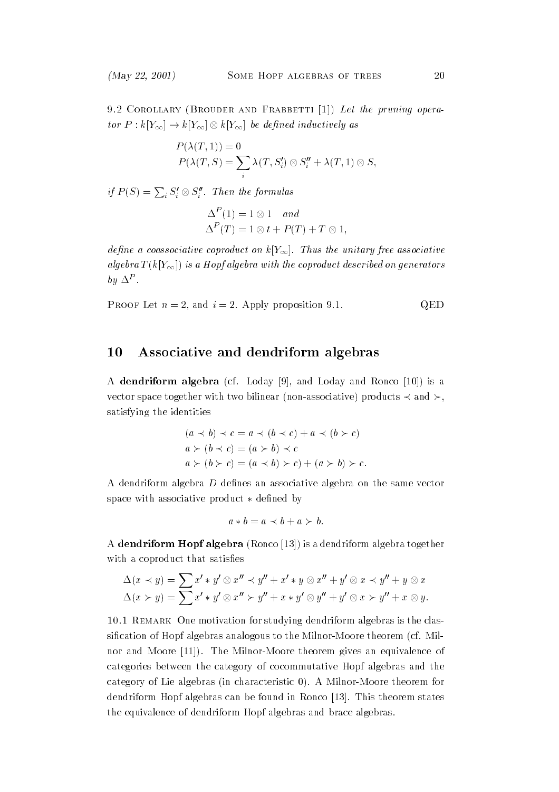9.2 Corollary (Brouder and Frabbetti [1]) Let the pruning operator  $P: k[Y_{\infty}] \to k[Y_{\infty}] \otimes k[Y_{\infty}]$  be defined inductively as

$$
P(\lambda(T, 1)) = 0
$$
  
 
$$
P(\lambda(T, S) = \sum_{i} \lambda(T, S'_{i}) \otimes S''_{i} + \lambda(T, 1) \otimes S,
$$

if  $P(S) = \sum_i S_i' \otimes S_i''$ . Then the formulas

$$
\Delta^P(1) = 1 \otimes 1 \quad and
$$
  

$$
\Delta^P(T) = 1 \otimes t + P(T) + T \otimes 1,
$$

define a coassociative coproduct on  $k[Y_\infty]$ . Thus the unitary free associative algebra  $T(k[Y_{\infty}])$  is a Hopf algebra with the coproduct described on generators  $\sigma$   $\mu$   $\Delta$  .

**PROOF** Let 
$$
n = 2
$$
, and  $i = 2$ . Apply proposition 9.1. QED

### 10 Associative and dendriform algebras

A dendriform algebra (cf. Loday [9], and Loday and Ronco [10]) is a vector space together with two bilinear (non-associative) products  $\prec$  and  $\succ$ . satisfying the identities

$$
(a \prec b) \prec c = a \prec (b \prec c) + a \prec (b \succ c)
$$
  
\n
$$
a \succ (b \prec c) = (a \succ b) \prec c
$$
  
\n
$$
a \succ (b \succ c) = (a \prec b) \succ c) + (a \succ b) \succ c.
$$

A dendriform algebra  $D$  defines an associative algebra on the same vector space with associative product  $*$  defined by

$$
a * b = a \prec b + a \succ b.
$$

A dendriform Hopf algebra (Ronco [13]) is a dendriform algebra together with a coproduct that satisfies

$$
\Delta(x \prec y) = \sum x' * y' \otimes x'' \prec y'' + x' * y \otimes x'' + y' \otimes x \prec y'' + y \otimes x
$$
  

$$
\Delta(x \succ y) = \sum x' * y' \otimes x'' \succ y'' + x * y' \otimes y'' + y' \otimes x \succ y'' + x \otimes y.
$$

10.1 Remark One motivation for studying dendriform algebras is the classification of Hopf algebras analogous to the Milnor-Moore theorem (cf. Milnor and Moore [11]). The Milnor-Moore theorem gives an equivalence of categories between the category of cocommutative Hopf algebras and the category of Lie algebras (in characteristic 0). A Milnor-Moore theorem for dendriform Hopf algebras can be found in Ronco [13]. This theorem states the equivalence of dendriform Hopf algebras and brace algebras.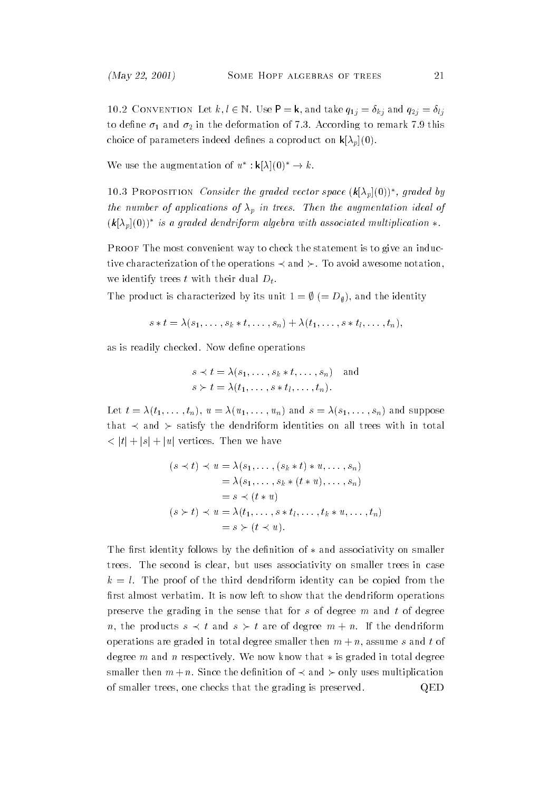10.2 CONVENTION Let  $k, l \in \mathbb{N}$ . Use  $P = k$ , and take  $q_{1j} = \delta_{kj}$  and  $q_{2j} = \delta_{lj}$ to define  $\sigma_1$  and  $\sigma_2$  in the deformation of 7.3. According to remark 7.9 this choice of parameters indeed defines a coproduct on  $\mathsf{k}[\lambda_p](0)$ .

We use the augmentation of  $u^*: k[\lambda](0)^* \to k$ .

10.3 PROPOSITION *Consider the graded vector space*  $(k|\lambda_p|(0))^*$ , graded by the number of applications of  $\lambda_p$  in trees. Then the augmentation ideal of  $(k[\lambda_p](0))^*$  is a graded dendriform algebra with associated multiplication  $*$ .

Proof The most convenient way to check the statement is to give an inductive characterization of the operations  $\prec$  and  $\succ$ . To avoid awesome notation, we identify trees t with their dual  $D_t$ .

The product is characterized by its unit  $1 = \emptyset$  (=  $D_{\emptyset}$ ), and the identity

$$
s * t = \lambda(s_1, \ldots, s_k * t, \ldots, s_n) + \lambda(t_1, \ldots, s * t_l, \ldots, t_n),
$$

as is readily checked. Now define operations

$$
s \prec t = \lambda(s_1, \ldots, s_k * t, \ldots, s_n) \text{ and}
$$
  

$$
s \succ t = \lambda(t_1, \ldots, s * t_l, \ldots, t_n).
$$

Let  $t = \lambda(t_1,\ldots,t_n), u = \lambda(u_1,\ldots,u_n)$  and  $s = \lambda(s_1,\ldots,s_n)$  and suppose that  $\prec$  and  $\succ$  satisfy the dendriform identities on all trees with in total  $<$  |t| + |s| + |u| vertices. Then we have

$$
(s \prec t) \prec u = \lambda(s_1, \ldots, (s_k * t) * u, \ldots, s_n)
$$
  
=  $\lambda(s_1, \ldots, s_k * (t * u), \ldots, s_n)$   
=  $s \prec (t * u)$   
 $(s \succ t) \prec u = \lambda(t_1, \ldots, s * t_l, \ldots, t_k * u, \ldots, t_n)$   
=  $s \succ (t \prec u).$ 

The first identity follows by the definition of  $*$  and associativity on smaller trees. The second is clear, but uses associativity on smaller trees in case  $k = l$ . The proof of the third dendriform identity can be copied from the first almost verbatim. It is now left to show that the dendriform operations preserve the grading in the sense that for  $s$  of degree  $m$  and  $t$  of degree n, the products  $s \prec t$  and  $s \succ t$  are of degree  $m + n$ . If the dendriform operations are graded in total degree smaller then  $m + n$ , assume s and t of degree m and n respectively. We now know that  $*$  is graded in total degree smaller then  $m+n$ . Since the definition of  $\prec$  and  $\succ$  only uses multiplication of smaller trees, one checks that the grading is preserved. QED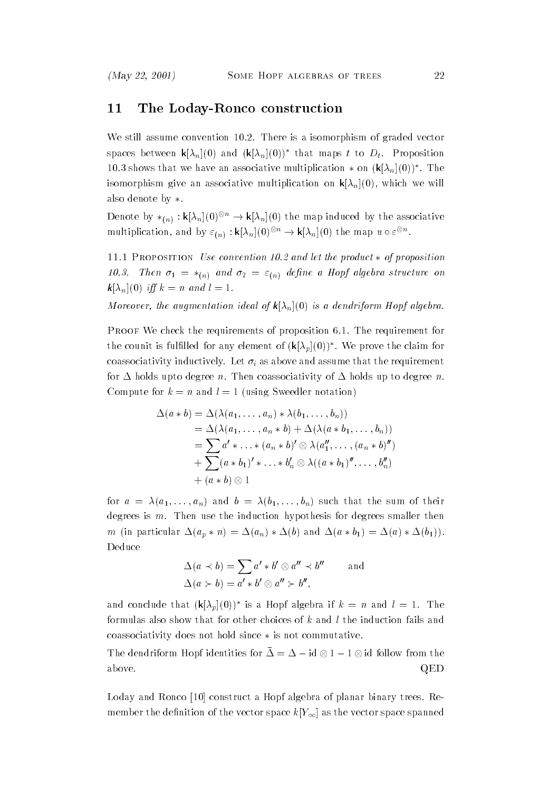### 11 The Loday-Ronco construction

We still assume convention 10.2. There is a isomorphism of graded vector spaces between  $\mathbf{k}[\lambda_n](0)$  and  $(\mathbf{k}[\lambda_n](0))^*$  that maps t to  $D_t$ . Proposition 10.3 shows that we have an associative multiplication  $*$  on  $(k[\lambda_n](0))^*$ . The isomorphism give an associative multiplication on  $\mathbf{k}[\lambda_n](0)$ , which we will also denote by  $*$ .

Denote by  $*_{(n)}: \mathbf{k}[\lambda_n](0)^{\otimes n} \to \mathbf{k}[\lambda_n](0)$  the map induced by the associative multiplication, and by  $\varepsilon_{(n)} : \mathsf{k}[\lambda_n](0)^{\otimes n} \to \mathsf{k}[\lambda_n](0)$  the map  $u \circ \varepsilon^{\otimes n}$ .

11.1 PROPOSITION Use convention 10.2 and let the product  $*$  of proposition 10.3. Then  $\sigma_1 = *_{(n)}$  and  $\sigma_2 = \varepsilon_{(n)}$  define a Hopf algebra structure on  $\mathbf{k}[\lambda_n](0)$  iff  $k = n$  and  $l = 1$ .

Moreover, the augmentation ideal of  $\mathsf{k}[\lambda_n](0)$  is a dendriform Hopf algebra.

Proof We check the requirements of proposition 6.1. The requirement for the counit is fulfilled for any element of  $(k[\lambda_p](0))^*$ . We prove the claim for coassociativity inductively. Let  $\sigma_i$  as above and assume that the requirement for  $\Delta$  holds upto degree n. Then coassociativity of  $\Delta$  holds up to degree n. Compute for  $k = n$  and  $l = 1$  (using Sweedler notation)

$$
\Delta(a * b) = \Delta(\lambda(a_1, \ldots, a_n) * \lambda(b_1, \ldots, b_n))
$$
  
=  $\Delta(\lambda(a_1, \ldots, a_n * b) + \Delta(\lambda(a * b_1, \ldots, b_n))$   
=  $\sum a' * \ldots * (a_n * b)' \otimes \lambda(a''_1, \ldots, (a_n * b''))$   
+  $\sum (a * b_1)' * \ldots * b'_n \otimes \lambda((a * b_1)'', \ldots, b''_n)$   
+  $(a * b) \otimes 1$ 

for  $a = \lambda(a_1, \ldots, a_n)$  and  $b = \lambda(b_1, \ldots, b_n)$  such that the sum of their degrees is  $m$ . Then use the induction hypothesis for degrees smaller then m (in particular  $\Delta(a_p * n) = \Delta(a_n) * \Delta(b)$  and  $\Delta(a * b_1) = \Delta(a) * \Delta(b_1)$ ). Deduce

$$
\Delta(a \prec b) = \sum a' * b' \otimes a'' \prec b''
$$
 and  

$$
\Delta(a \succ b) = a' * b' \otimes a'' \succ b'',
$$

and conclude that  $(k[\lambda_p](0))^*$  is a Hopf algebra if  $k = n$  and  $l = 1$ . The formulas also show that for other choices of k and l the induction fails and coassociativity does not hold since  $*$  is not commutative.

The dendriform Hopf identities for  $\Delta = \Delta - \mathrm{id} \otimes 1 - 1 \otimes \mathrm{id}$  follow from the above. QED 200 and 200 and 200 and 200 and 200 and 200 and 200 and 200 and 200 and 200 and 200 and 200 and 200

Loday and Ronco [10] construct a Hopf algebra of planar binary trees. Remember the definition of the vector space  $k[Y_\infty]$  as the vector space spanned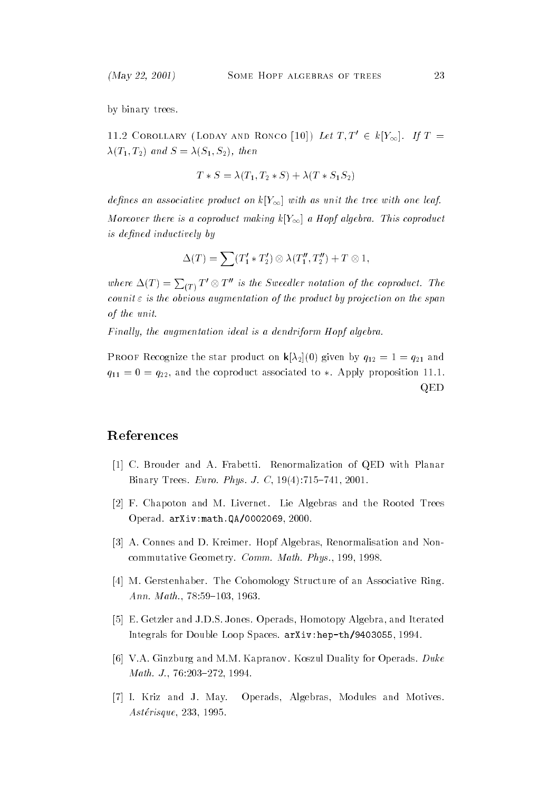by binary trees.

11.2 COROLLARY (LODAY AND RONCO [10]) Let  $T, T' \in k[Y_{\infty}]$ . If  $T =$  $\lambda(T_1, T_2)$  and  $S = \lambda(S_1, S_2)$ , then

$$
T * S = \lambda(T_1, T_2 * S) + \lambda(T * S_1 S_2)
$$

defines an associative product on  $k[Y_\infty]$  with as unit the tree with one leaf. Moreover there is a coproduct making  $k[Y_\infty]$  a Hopf algebra. This coproduct is defined inductively by

$$
\Delta(T) = \sum (T_1' * T_2') \otimes \lambda(T_1'', T_2'') + T \otimes 1,
$$

where  $\Delta(T) = \sum_{(T)} T' \otimes T''$  is the Sweedler notation of the coproduct. The counit  $\varepsilon$  is the obvious augmentation of the product by projection on the span of the unit.

Finally, the augmentation ideal is a dendriform Hopf algebra.

**Proof Recognize the star product on**  $\mathbf{r}_1 \cdot \mathbf{r}_2$  **(0) given by**  $\mathbf{q}_{12} = 1$  **=**  $\mathbf{q}_{21}$  **and**  $q_{11} = 0 = q_{22}$ , and the coproduct associated to \*. Apply proposition 11.1. QED

### References

- [1] C. Brouder and A. Frabetti. Renormalization of QED with Planar Binary Trees. Euro. Phys. J. C,  $19(4)$ :715-741, 2001.
- [2] F. Chapoton and M. Livernet. Lie Algebras and the Rooted Trees Operad. arXiv:math.QA/0002069, 2000.
- [3] A. Connes and D. Kreimer. Hopf Algebras, Renormalisation and Noncommutative Geometry. Comm. Math. Phys., 199, 1998.
- [4] M. Gerstenhaber. The Cohomology Structure of an Associative Ring. Ann. Math.,  $78:59-103$ , 1963.
- [5] E. Getzler and J.D.S. Jones. Operads, Homotopy Algebra, and Iterated Integrals for Double Loop Spaces. arXiv:hep-th/9403055, 1994.
- [6] V.A. Ginzburg and M.M. Kapranov. Koszul Duality for Operads. Duke Math. J., 76:203-272, 1994.
- [7] I. Kriz and J. May. Operads, Algebras, Modules and Motives. Asterisque, 233, 1995.